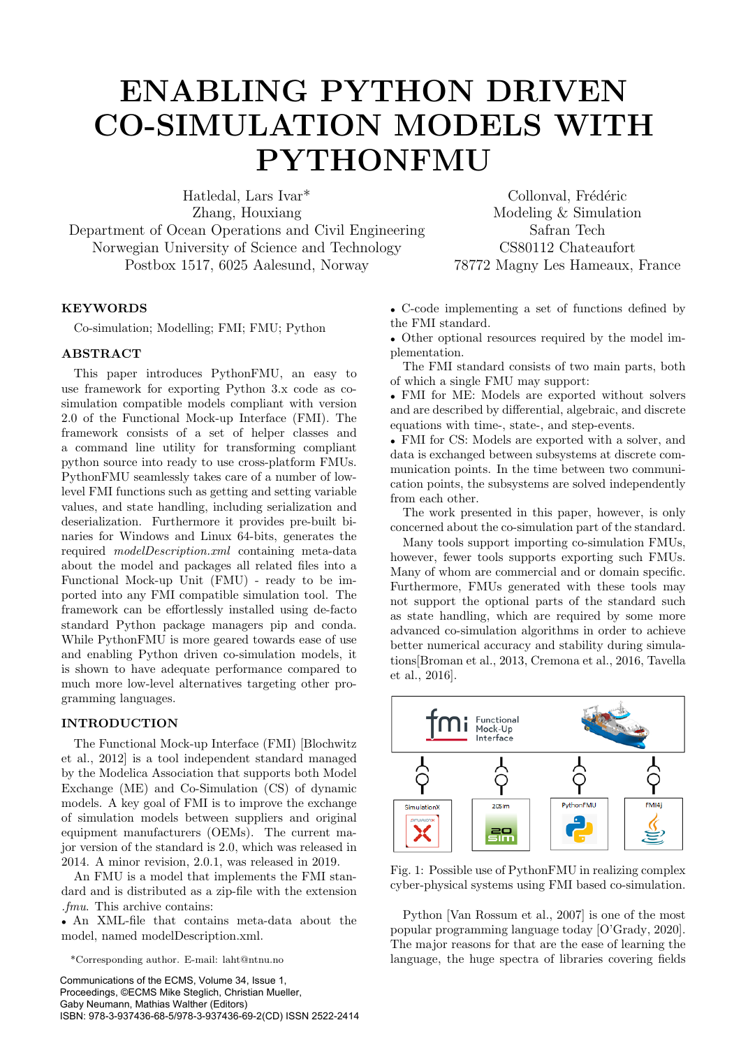# ENABLING PYTHON DRIVEN CO-SIMULATION MODELS WITH PYTHONFMU

Hatledal, Lars Ivar<sup>\*</sup> Collonval, Frédéric Zhang, Houxiang Modeling & Simulation Department of Ocean Operations and Civil Engineering Safran Tech Norwegian University of Science and Technology CS80112 Chateaufort Postbox 1517, 6025 Aalesund, Norway 78772 Magny Les Hameaux, France

# KEYWORDS

Co-simulation; Modelling; FMI; FMU; Python

## **ABSTRACT**

This paper introduces PythonFMU, an easy to use framework for exporting Python 3.x code as cosimulation compatible models compliant with version 2.0 of the Functional Mock-up Interface (FMI). The framework consists of a set of helper classes and a command line utility for transforming compliant python source into ready to use cross-platform FMUs. PythonFMU seamlessly takes care of a number of lowlevel FMI functions such as getting and setting variable values, and state handling, including serialization and deserialization. Furthermore it provides pre-built binaries for Windows and Linux 64-bits, generates the required modelDescription.xml containing meta-data about the model and packages all related files into a Functional Mock-up Unit (FMU) - ready to be imported into any FMI compatible simulation tool. The framework can be effortlessly installed using de-facto standard Python package managers pip and conda. While PythonFMU is more geared towards ease of use and enabling Python driven co-simulation models, it is shown to have adequate performance compared to much more low-level alternatives targeting other programming languages.

## INTRODUCTION

The Functional Mock-up Interface (FMI) [Blochwitz et al., 2012] is a tool independent standard managed by the Modelica Association that supports both Model Exchange (ME) and Co-Simulation (CS) of dynamic models. A key goal of FMI is to improve the exchange of simulation models between suppliers and original equipment manufacturers (OEMs). The current major version of the standard is 2.0, which was released in 2014. A minor revision, 2.0.1, was released in 2019.

An FMU is a model that implements the FMI standard and is distributed as a zip-file with the extension .fmu. This archive contains:

• An XML-file that contains meta-data about the model, named modelDescription.xml.

\*Corresponding author. E-mail: laht@ntnu.no

Communications of the ECMS, Volume 34, Issue 1, Proceedings, ©ECMS Mike Steglich, Christian Mueller, Gaby Neumann, Mathias Walther (Editors) ISBN: 978-3-937436-68-5/978-3-937436-69-2(CD) ISSN 2522-2414

• C-code implementing a set of functions defined by the FMI standard.

• Other optional resources required by the model implementation.

The FMI standard consists of two main parts, both of which a single FMU may support:

• FMI for ME: Models are exported without solvers and are described by differential, algebraic, and discrete equations with time-, state-, and step-events.

• FMI for CS: Models are exported with a solver, and data is exchanged between subsystems at discrete communication points. In the time between two communication points, the subsystems are solved independently from each other.

The work presented in this paper, however, is only concerned about the co-simulation part of the standard.

Many tools support importing co-simulation FMUs, however, fewer tools supports exporting such FMUs. Many of whom are commercial and or domain specific. Furthermore, FMUs generated with these tools may not support the optional parts of the standard such as state handling, which are required by some more advanced co-simulation algorithms in order to achieve better numerical accuracy and stability during simulations[Broman et al., 2013, Cremona et al., 2016, Tavella et al., 2016].



Fig. 1: Possible use of PythonFMU in realizing complex cyber-physical systems using FMI based co-simulation.

Python [Van Rossum et al., 2007] is one of the most popular programming language today [O'Grady, 2020]. The major reasons for that are the ease of learning the language, the huge spectra of libraries covering fields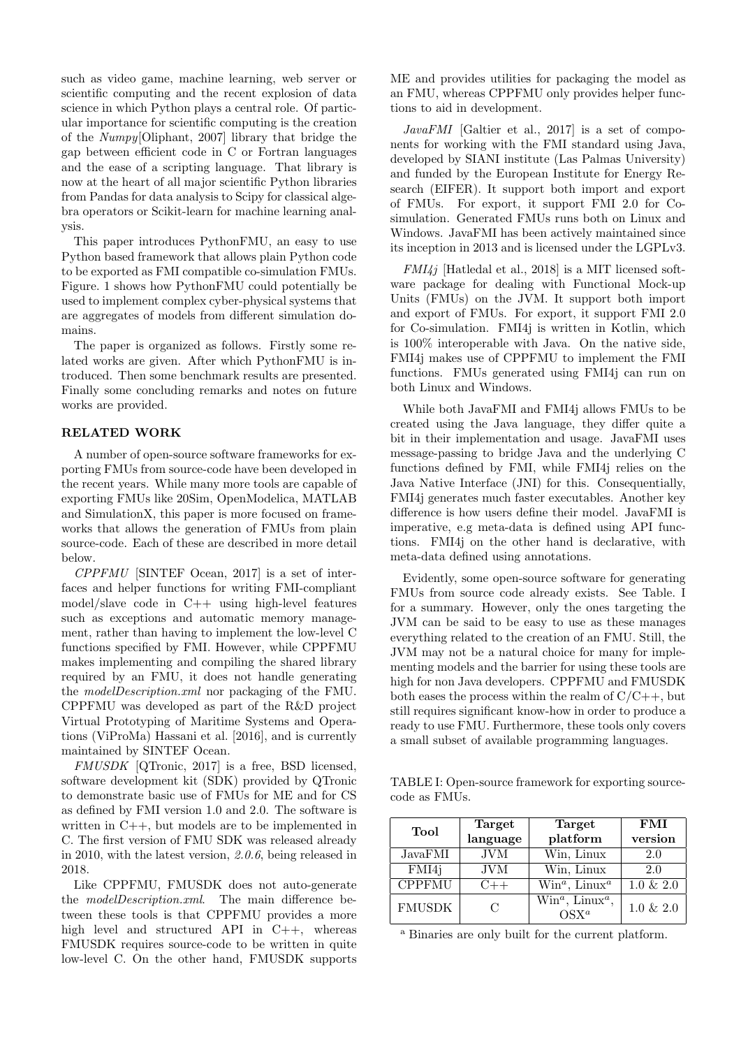such as video game, machine learning, web server or scientific computing and the recent explosion of data science in which Python plays a central role. Of particular importance for scientific computing is the creation of the Numpy[Oliphant, 2007] library that bridge the gap between efficient code in C or Fortran languages and the ease of a scripting language. That library is now at the heart of all major scientific Python libraries from Pandas for data analysis to Scipy for classical algebra operators or Scikit-learn for machine learning analysis.

This paper introduces PythonFMU, an easy to use Python based framework that allows plain Python code to be exported as FMI compatible co-simulation FMUs. Figure. 1 shows how PythonFMU could potentially be used to implement complex cyber-physical systems that are aggregates of models from different simulation domains.

The paper is organized as follows. Firstly some related works are given. After which PythonFMU is introduced. Then some benchmark results are presented. Finally some concluding remarks and notes on future works are provided.

#### RELATED WORK

A number of open-source software frameworks for exporting FMUs from source-code have been developed in the recent years. While many more tools are capable of exporting FMUs like 20Sim, OpenModelica, MATLAB and SimulationX, this paper is more focused on frameworks that allows the generation of FMUs from plain source-code. Each of these are described in more detail below.

CPPFMU [SINTEF Ocean, 2017] is a set of interfaces and helper functions for writing FMI-compliant model/slave code in  $C++$  using high-level features such as exceptions and automatic memory management, rather than having to implement the low-level C functions specified by FMI. However, while CPPFMU makes implementing and compiling the shared library required by an FMU, it does not handle generating the modelDescription.xml nor packaging of the FMU. CPPFMU was developed as part of the R&D project Virtual Prototyping of Maritime Systems and Operations (ViProMa) Hassani et al. [2016], and is currently maintained by SINTEF Ocean.

FMUSDK [QTronic, 2017] is a free, BSD licensed, software development kit (SDK) provided by QTronic to demonstrate basic use of FMUs for ME and for CS as defined by FMI version 1.0 and 2.0. The software is written in C++, but models are to be implemented in C. The first version of FMU SDK was released already in 2010, with the latest version, 2.0.6, being released in 2018.

Like CPPFMU, FMUSDK does not auto-generate the modelDescription.xml. The main difference between these tools is that CPPFMU provides a more high level and structured API in C++, whereas FMUSDK requires source-code to be written in quite low-level C. On the other hand, FMUSDK supports ME and provides utilities for packaging the model as an FMU, whereas CPPFMU only provides helper functions to aid in development.

 $JavaFMI$  [Galtier et al., 2017] is a set of components for working with the FMI standard using Java, developed by SIANI institute (Las Palmas University) and funded by the European Institute for Energy Research (EIFER). It support both import and export of FMUs. For export, it support FMI 2.0 for Cosimulation. Generated FMUs runs both on Linux and Windows. JavaFMI has been actively maintained since its inception in 2013 and is licensed under the LGPLv3.

 $FMI4j$  [Hatledal et al., 2018] is a MIT licensed software package for dealing with Functional Mock-up Units (FMUs) on the JVM. It support both import and export of FMUs. For export, it support FMI 2.0 for Co-simulation. FMI4j is written in Kotlin, which is 100% interoperable with Java. On the native side, FMI4j makes use of CPPFMU to implement the FMI functions. FMUs generated using FMI4j can run on both Linux and Windows.

While both JavaFMI and FMI4j allows FMUs to be created using the Java language, they differ quite a bit in their implementation and usage. JavaFMI uses message-passing to bridge Java and the underlying C functions defined by FMI, while FMI4j relies on the Java Native Interface (JNI) for this. Consequentially, FMI4j generates much faster executables. Another key difference is how users define their model. JavaFMI is imperative, e.g meta-data is defined using API functions. FMI4j on the other hand is declarative, with meta-data defined using annotations.

Evidently, some open-source software for generating FMUs from source code already exists. See Table. I for a summary. However, only the ones targeting the JVM can be said to be easy to use as these manages everything related to the creation of an FMU. Still, the JVM may not be a natural choice for many for implementing models and the barrier for using these tools are high for non Java developers. CPPFMU and FMUSDK both eases the process within the realm of  $C/C++$ , but still requires significant know-how in order to produce a ready to use FMU. Furthermore, these tools only covers a small subset of available programming languages.

TABLE I: Open-source framework for exporting sourcecode as FMUs.

| Tool          | Target                      | Target                                                             | FMI          |
|---------------|-----------------------------|--------------------------------------------------------------------|--------------|
|               | language                    | platform                                                           | version      |
| JavaFMI       | <b>JVM</b>                  | Win, Linux                                                         | 2.0          |
| FMI4j         | <b>JVM</b>                  | Win, Linux                                                         | 2.0          |
| <b>CPPFMU</b> | $C++$                       | $Win^a$ , Linux <sup><i>a</i></sup>                                | $1.0 \& 2.0$ |
| <b>FMUSDK</b> | $\mathcal{C}_{\mathcal{C}}$ | $\overline{\text{Win}^a}$ , Linux <sup><i>a</i></sup> ,<br>$OSX^a$ | $1.0 \& 2.0$ |

<sup>a</sup> Binaries are only built for the current platform.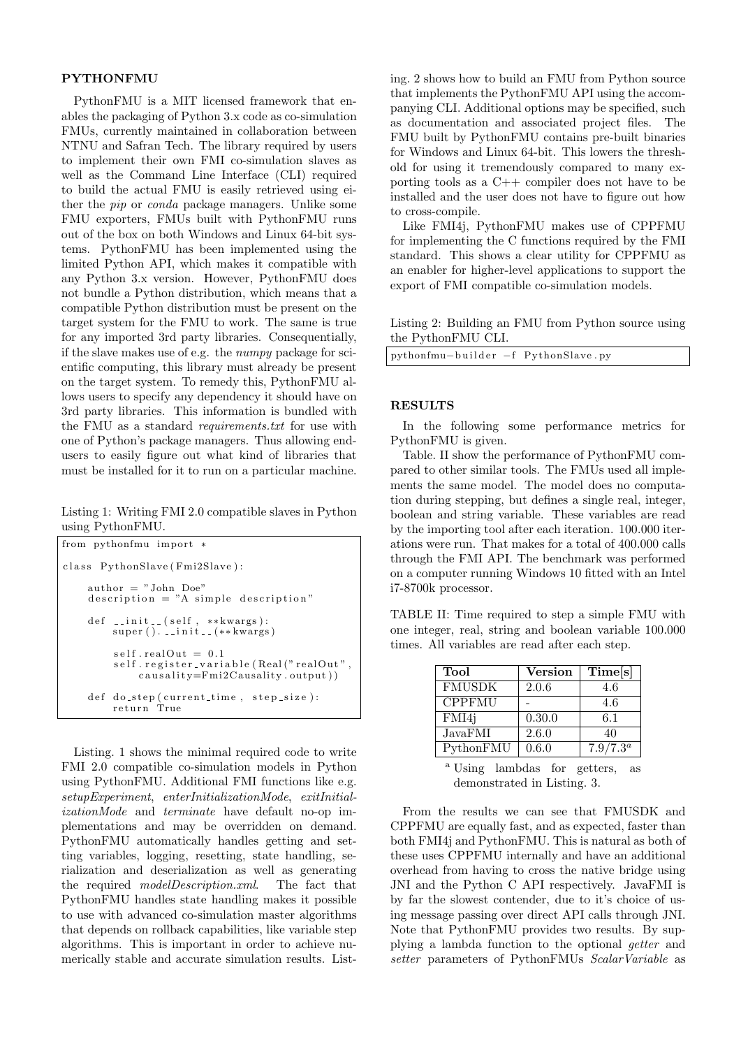### PYTHONFMU

PythonFMU is a MIT licensed framework that enables the packaging of Python 3.x code as co-simulation FMUs, currently maintained in collaboration between NTNU and Safran Tech. The library required by users to implement their own FMI co-simulation slaves as well as the Command Line Interface (CLI) required to build the actual FMU is easily retrieved using either the pip or conda package managers. Unlike some FMU exporters, FMUs built with PythonFMU runs out of the box on both Windows and Linux 64-bit systems. PythonFMU has been implemented using the limited Python API, which makes it compatible with any Python 3.x version. However, PythonFMU does not bundle a Python distribution, which means that a compatible Python distribution must be present on the target system for the FMU to work. The same is true for any imported 3rd party libraries. Consequentially, if the slave makes use of e.g. the numpy package for scientific computing, this library must already be present on the target system. To remedy this, PythonFMU allows users to specify any dependency it should have on 3rd party libraries. This information is bundled with the FMU as a standard requirements.txt for use with one of Python's package managers. Thus allowing endusers to easily figure out what kind of libraries that must be installed for it to run on a particular machine.

Listing 1: Writing FMI 2.0 compatible slaves in Python using PythonFMU.

| from pythonfmu import *                                                                               |
|-------------------------------------------------------------------------------------------------------|
| class PythonSlave (Fmi2Slave):                                                                        |
| $\text{author} = " \text{John} \text{ Doe"}$<br>$description = "A simple description"$                |
| def $\text{\_}init \text{\_}$ (self, ** kwargs):<br>super $()$ . $\text{1init}$ . $(**kways)$         |
| $self.readOut = 0.1$<br>self.register_variable(Real("realOut",<br>$causality = Fmi2Causality.output)$ |
| def do_step(current_time, step_size):<br>return True                                                  |

Listing. 1 shows the minimal required code to write FMI 2.0 compatible co-simulation models in Python using PythonFMU. Additional FMI functions like e.g. setupExperiment, enterInitializationMode, exitInitializationMode and terminate have default no-op implementations and may be overridden on demand. PythonFMU automatically handles getting and setting variables, logging, resetting, state handling, serialization and deserialization as well as generating the required modelDescription.xml. The fact that PythonFMU handles state handling makes it possible to use with advanced co-simulation master algorithms that depends on rollback capabilities, like variable step algorithms. This is important in order to achieve numerically stable and accurate simulation results. Listing. 2 shows how to build an FMU from Python source that implements the PythonFMU API using the accompanying CLI. Additional options may be specified, such as documentation and associated project files. The FMU built by PythonFMU contains pre-built binaries for Windows and Linux 64-bit. This lowers the threshold for using it tremendously compared to many exporting tools as a C++ compiler does not have to be installed and the user does not have to figure out how to cross-compile.

Like FMI4j, PythonFMU makes use of CPPFMU for implementing the C functions required by the FMI standard. This shows a clear utility for CPPFMU as an enabler for higher-level applications to support the export of FMI compatible co-simulation models.

Listing 2: Building an FMU from Python source using the PythonFMU CLI.

## **RESULTS**

In the following some performance metrics for PythonFMU is given.

Table. II show the performance of PythonFMU compared to other similar tools. The FMUs used all implements the same model. The model does no computation during stepping, but defines a single real, integer, boolean and string variable. These variables are read by the importing tool after each iteration. 100.000 iterations were run. That makes for a total of 400.000 calls through the FMI API. The benchmark was performed on a computer running Windows 10 fitted with an Intel i7-8700k processor.

TABLE II: Time required to step a simple FMU with one integer, real, string and boolean variable 100.000 times. All variables are read after each step.

| Tool          | <b>Version</b> | Time[s]     |
|---------------|----------------|-------------|
| <b>FMUSDK</b> | 2.0.6          | 4.6         |
| <b>CPPFMU</b> |                | 4.6         |
| FMI4j         | 0.30.0         | 6.1         |
| JavaFMI       | 2.6.0          | 40          |
| PythonFMU     | 0.6.0          | $7.9/7.3^a$ |

<sup>a</sup> Using lambdas for getters, as demonstrated in Listing. 3.

From the results we can see that FMUSDK and CPPFMU are equally fast, and as expected, faster than both FMI4j and PythonFMU. This is natural as both of these uses CPPFMU internally and have an additional overhead from having to cross the native bridge using JNI and the Python C API respectively. JavaFMI is by far the slowest contender, due to it's choice of using message passing over direct API calls through JNI. Note that PythonFMU provides two results. By supplying a lambda function to the optional getter and setter parameters of PythonFMUs ScalarVariable as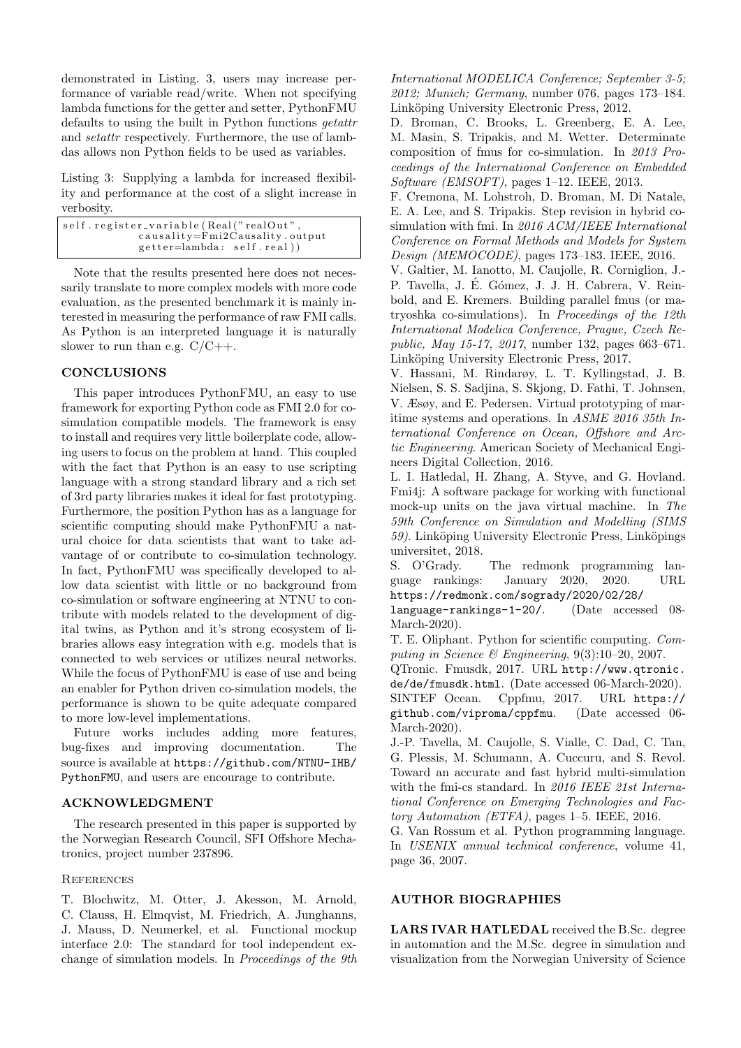demonstrated in Listing. 3, users may increase performance of variable read/write. When not specifying lambda functions for the getter and setter, PythonFMU defaults to using the built in Python functions getattr and setattr respectively. Furthermore, the use of lambdas allows non Python fields to be used as variables.

Listing 3: Supplying a lambda for increased flexibility and performance at the cost of a slight increase in verbosity.

| self.register_variable(Real("realOut", |
|----------------------------------------|
| causality=Fmi2Causality.output         |
| getter=lambda: self.real)              |

Note that the results presented here does not necessarily translate to more complex models with more code evaluation, as the presented benchmark it is mainly interested in measuring the performance of raw FMI calls. As Python is an interpreted language it is naturally slower to run than e.g.  $C/C++$ .

# **CONCLUSIONS**

This paper introduces PythonFMU, an easy to use framework for exporting Python code as FMI 2.0 for cosimulation compatible models. The framework is easy to install and requires very little boilerplate code, allowing users to focus on the problem at hand. This coupled with the fact that Python is an easy to use scripting language with a strong standard library and a rich set of 3rd party libraries makes it ideal for fast prototyping. Furthermore, the position Python has as a language for scientific computing should make PythonFMU a natural choice for data scientists that want to take advantage of or contribute to co-simulation technology. In fact, PythonFMU was specifically developed to allow data scientist with little or no background from co-simulation or software engineering at NTNU to contribute with models related to the development of digital twins, as Python and it's strong ecosystem of libraries allows easy integration with e.g. models that is connected to web services or utilizes neural networks. While the focus of PythonFMU is ease of use and being an enabler for Python driven co-simulation models, the performance is shown to be quite adequate compared to more low-level implementations.

Future works includes adding more features, bug-fixes and improving documentation. The source is available at https://github.com/NTNU-IHB/ PythonFMU, and users are encourage to contribute.

#### ACKNOWLEDGMENT

The research presented in this paper is supported by the Norwegian Research Council, SFI Offshore Mechatronics, project number 237896.

#### **REFERENCES**

T. Blochwitz, M. Otter, J. Akesson, M. Arnold, C. Clauss, H. Elmqvist, M. Friedrich, A. Junghanns, J. Mauss, D. Neumerkel, et al. Functional mockup interface 2.0: The standard for tool independent exchange of simulation models. In Proceedings of the 9th International MODELICA Conference; September 3-5; 2012; Munich; Germany, number 076, pages 173–184. Linköping University Electronic Press, 2012.

D. Broman, C. Brooks, L. Greenberg, E. A. Lee, M. Masin, S. Tripakis, and M. Wetter. Determinate composition of fmus for co-simulation. In 2013 Proceedings of the International Conference on Embedded Software (EMSOFT), pages 1–12. IEEE, 2013.

F. Cremona, M. Lohstroh, D. Broman, M. Di Natale, E. A. Lee, and S. Tripakis. Step revision in hybrid cosimulation with fmi. In 2016 ACM/IEEE International Conference on Formal Methods and Models for System Design (MEMOCODE), pages 173–183. IEEE, 2016.

V. Galtier, M. Ianotto, M. Caujolle, R. Corniglion, J.- P. Tavella, J. É. Gómez, J. J. H. Cabrera, V. Reinbold, and E. Kremers. Building parallel fmus (or matryoshka co-simulations). In Proceedings of the 12th International Modelica Conference, Prague, Czech Republic, May 15-17, 2017, number 132, pages 663–671. Linköping University Electronic Press, 2017.

V. Hassani, M. Rindarøy, L. T. Kyllingstad, J. B. Nielsen, S. S. Sadjina, S. Skjong, D. Fathi, T. Johnsen, V. Æsøy, and E. Pedersen. Virtual prototyping of maritime systems and operations. In ASME 2016 35th International Conference on Ocean, Offshore and Arctic Engineering. American Society of Mechanical Engineers Digital Collection, 2016.

L. I. Hatledal, H. Zhang, A. Styve, and G. Hovland. Fmi4j: A software package for working with functional mock-up units on the java virtual machine. In The 59th Conference on Simulation and Modelling (SIMS 59). Linköping University Electronic Press, Linköpings universitet, 2018.

S. O'Grady. The redmonk programming language rankings: January 2020, 2020. URL https://redmonk.com/sogrady/2020/02/28/

language-rankings-1-20/. (Date accessed 08- March-2020).

T. E. Oliphant. Python for scientific computing. Computing in Science & Engineering, 9(3):10–20, 2007.

QTronic. Fmusdk, 2017. URL http://www.qtronic. de/de/fmusdk.html. (Date accessed 06-March-2020).

SINTEF Ocean. Cppfmu, 2017. URL https:// github.com/viproma/cppfmu. (Date accessed 06- March-2020).

J.-P. Tavella, M. Caujolle, S. Vialle, C. Dad, C. Tan, G. Plessis, M. Schumann, A. Cuccuru, and S. Revol. Toward an accurate and fast hybrid multi-simulation with the fmi-cs standard. In 2016 IEEE 21st International Conference on Emerging Technologies and Factory Automation (ETFA), pages 1–5. IEEE, 2016.

G. Van Rossum et al. Python programming language. In USENIX annual technical conference, volume 41, page 36, 2007.

### AUTHOR BIOGRAPHIES

LARS IVAR HATLEDAL received the B.Sc. degree in automation and the M.Sc. degree in simulation and visualization from the Norwegian University of Science